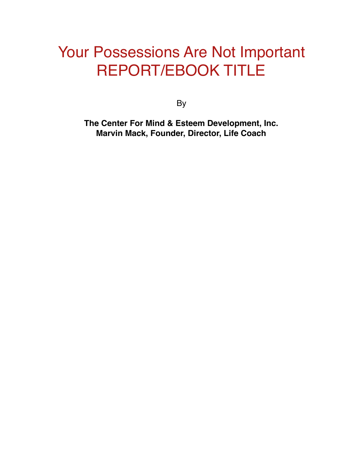# Your Possessions Are Not Important REPORT/EBOOK TITLE

By

**The Center For Mind & Esteem Development, Inc. Marvin Mack, Founder, Director, Life Coach**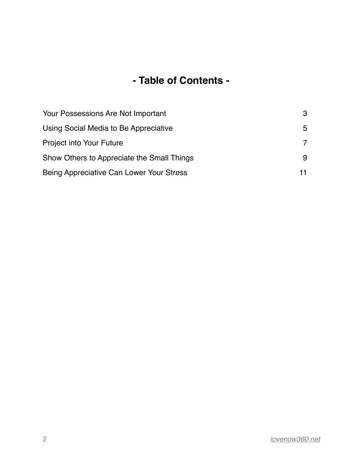#### **- Table of Contents -**

| Your Possessions Are Not Important         | 3 |
|--------------------------------------------|---|
| Using Social Media to Be Appreciative      | 5 |
| Project into Your Future                   |   |
| Show Others to Appreciate the Small Things | 9 |
| Being Appreciative Can Lower Your Stress   |   |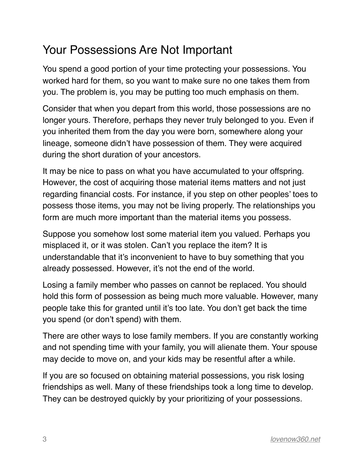#### <span id="page-2-0"></span>Your Possessions Are Not Important

You spend a good portion of your time protecting your possessions. You worked hard for them, so you want to make sure no one takes them from you. The problem is, you may be putting too much emphasis on them.

Consider that when you depart from this world, those possessions are no longer yours. Therefore, perhaps they never truly belonged to you. Even if you inherited them from the day you were born, somewhere along your lineage, someone didn't have possession of them. They were acquired during the short duration of your ancestors.

It may be nice to pass on what you have accumulated to your offspring. However, the cost of acquiring those material items matters and not just regarding financial costs. For instance, if you step on other peoples' toes to possess those items, you may not be living properly. The relationships you form are much more important than the material items you possess.

Suppose you somehow lost some material item you valued. Perhaps you misplaced it, or it was stolen. Can't you replace the item? It is understandable that it's inconvenient to have to buy something that you already possessed. However, it's not the end of the world.

Losing a family member who passes on cannot be replaced. You should hold this form of possession as being much more valuable. However, many people take this for granted until it's too late. You don't get back the time you spend (or don't spend) with them.

There are other ways to lose family members. If you are constantly working and not spending time with your family, you will alienate them. Your spouse may decide to move on, and your kids may be resentful after a while.

If you are so focused on obtaining material possessions, you risk losing friendships as well. Many of these friendships took a long time to develop. They can be destroyed quickly by your prioritizing of your possessions.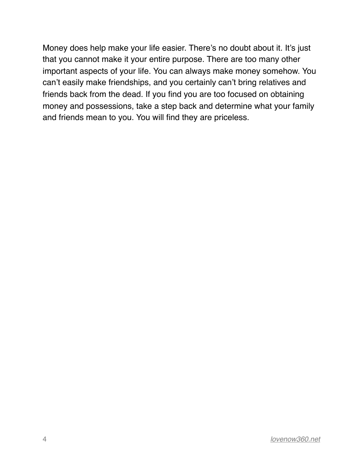Money does help make your life easier. There's no doubt about it. It's just that you cannot make it your entire purpose. There are too many other important aspects of your life. You can always make money somehow. You can't easily make friendships, and you certainly can't bring relatives and friends back from the dead. If you find you are too focused on obtaining money and possessions, take a step back and determine what your family and friends mean to you. You will find they are priceless.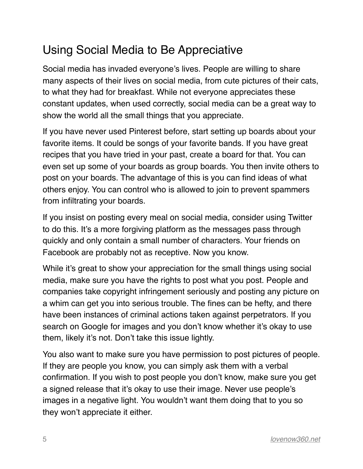## <span id="page-4-0"></span>Using Social Media to Be Appreciative

Social media has invaded everyone's lives. People are willing to share many aspects of their lives on social media, from cute pictures of their cats, to what they had for breakfast. While not everyone appreciates these constant updates, when used correctly, social media can be a great way to show the world all the small things that you appreciate.

If you have never used Pinterest before, start setting up boards about your favorite items. It could be songs of your favorite bands. If you have great recipes that you have tried in your past, create a board for that. You can even set up some of your boards as group boards. You then invite others to post on your boards. The advantage of this is you can find ideas of what others enjoy. You can control who is allowed to join to prevent spammers from infiltrating your boards.

If you insist on posting every meal on social media, consider using Twitter to do this. It's a more forgiving platform as the messages pass through quickly and only contain a small number of characters. Your friends on Facebook are probably not as receptive. Now you know.

While it's great to show your appreciation for the small things using social media, make sure you have the rights to post what you post. People and companies take copyright infringement seriously and posting any picture on a whim can get you into serious trouble. The fines can be hefty, and there have been instances of criminal actions taken against perpetrators. If you search on Google for images and you don't know whether it's okay to use them, likely it's not. Don't take this issue lightly.

You also want to make sure you have permission to post pictures of people. If they are people you know, you can simply ask them with a verbal confirmation. If you wish to post people you don't know, make sure you get a signed release that it's okay to use their image. Never use people's images in a negative light. You wouldn't want them doing that to you so they won't appreciate it either.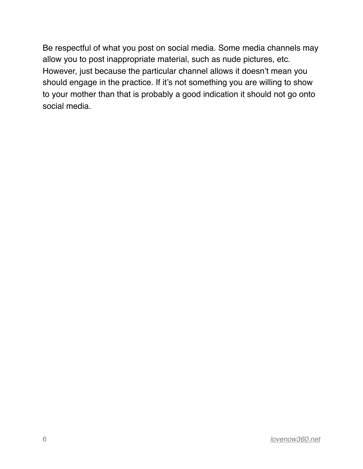Be respectful of what you post on social media. Some media channels may allow you to post inappropriate material, such as nude pictures, etc. However, just because the particular channel allows it doesn't mean you should engage in the practice. If it's not something you are willing to show to your mother than that is probably a good indication it should not go onto social media.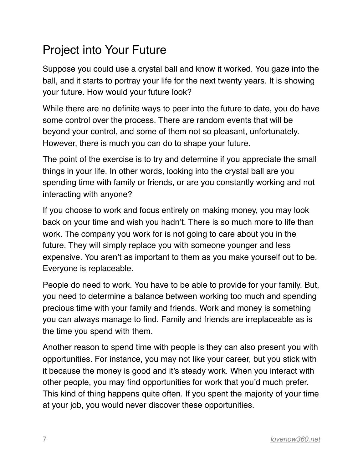### <span id="page-6-0"></span>Project into Your Future

Suppose you could use a crystal ball and know it worked. You gaze into the ball, and it starts to portray your life for the next twenty years. It is showing your future. How would your future look?

While there are no definite ways to peer into the future to date, you do have some control over the process. There are random events that will be beyond your control, and some of them not so pleasant, unfortunately. However, there is much you can do to shape your future.

The point of the exercise is to try and determine if you appreciate the small things in your life. In other words, looking into the crystal ball are you spending time with family or friends, or are you constantly working and not interacting with anyone?

If you choose to work and focus entirely on making money, you may look back on your time and wish you hadn't. There is so much more to life than work. The company you work for is not going to care about you in the future. They will simply replace you with someone younger and less expensive. You aren't as important to them as you make yourself out to be. Everyone is replaceable.

People do need to work. You have to be able to provide for your family. But, you need to determine a balance between working too much and spending precious time with your family and friends. Work and money is something you can always manage to find. Family and friends are irreplaceable as is the time you spend with them.

Another reason to spend time with people is they can also present you with opportunities. For instance, you may not like your career, but you stick with it because the money is good and it's steady work. When you interact with other people, you may find opportunities for work that you'd much prefer. This kind of thing happens quite often. If you spent the majority of your time at your job, you would never discover these opportunities.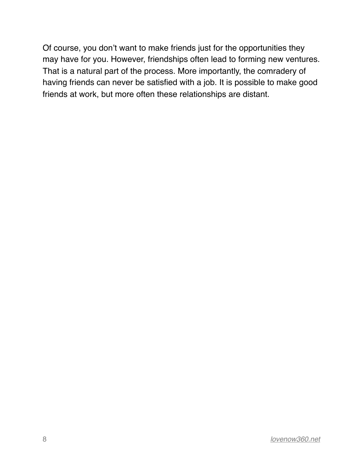Of course, you don't want to make friends just for the opportunities they may have for you. However, friendships often lead to forming new ventures. That is a natural part of the process. More importantly, the comradery of having friends can never be satisfied with a job. It is possible to make good friends at work, but more often these relationships are distant.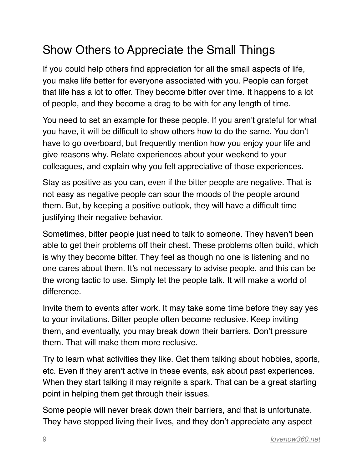## <span id="page-8-0"></span>Show Others to Appreciate the Small Things

If you could help others find appreciation for all the small aspects of life, you make life better for everyone associated with you. People can forget that life has a lot to offer. They become bitter over time. It happens to a lot of people, and they become a drag to be with for any length of time.

You need to set an example for these people. If you aren't grateful for what you have, it will be difficult to show others how to do the same. You don't have to go overboard, but frequently mention how you enjoy your life and give reasons why. Relate experiences about your weekend to your colleagues, and explain why you felt appreciative of those experiences.

Stay as positive as you can, even if the bitter people are negative. That is not easy as negative people can sour the moods of the people around them. But, by keeping a positive outlook, they will have a difficult time justifying their negative behavior.

Sometimes, bitter people just need to talk to someone. They haven't been able to get their problems off their chest. These problems often build, which is why they become bitter. They feel as though no one is listening and no one cares about them. It's not necessary to advise people, and this can be the wrong tactic to use. Simply let the people talk. It will make a world of difference.

Invite them to events after work. It may take some time before they say yes to your invitations. Bitter people often become reclusive. Keep inviting them, and eventually, you may break down their barriers. Don't pressure them. That will make them more reclusive.

Try to learn what activities they like. Get them talking about hobbies, sports, etc. Even if they aren't active in these events, ask about past experiences. When they start talking it may reignite a spark. That can be a great starting point in helping them get through their issues.

Some people will never break down their barriers, and that is unfortunate. They have stopped living their lives, and they don't appreciate any aspect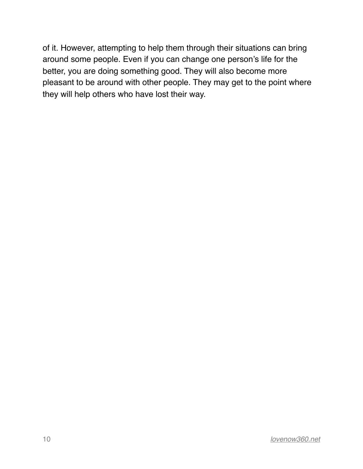of it. However, attempting to help them through their situations can bring around some people. Even if you can change one person's life for the better, you are doing something good. They will also become more pleasant to be around with other people. They may get to the point where they will help others who have lost their way.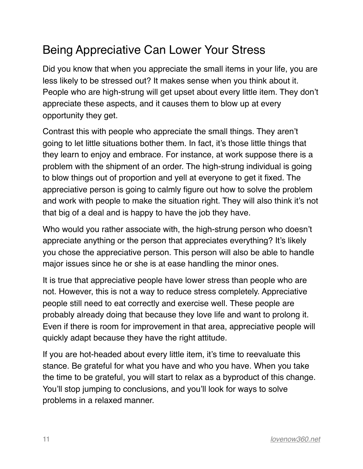## <span id="page-10-0"></span>Being Appreciative Can Lower Your Stress

Did you know that when you appreciate the small items in your life, you are less likely to be stressed out? It makes sense when you think about it. People who are high-strung will get upset about every little item. They don't appreciate these aspects, and it causes them to blow up at every opportunity they get.

Contrast this with people who appreciate the small things. They aren't going to let little situations bother them. In fact, it's those little things that they learn to enjoy and embrace. For instance, at work suppose there is a problem with the shipment of an order. The high-strung individual is going to blow things out of proportion and yell at everyone to get it fixed. The appreciative person is going to calmly figure out how to solve the problem and work with people to make the situation right. They will also think it's not that big of a deal and is happy to have the job they have.

Who would you rather associate with, the high-strung person who doesn't appreciate anything or the person that appreciates everything? It's likely you chose the appreciative person. This person will also be able to handle major issues since he or she is at ease handling the minor ones.

It is true that appreciative people have lower stress than people who are not. However, this is not a way to reduce stress completely. Appreciative people still need to eat correctly and exercise well. These people are probably already doing that because they love life and want to prolong it. Even if there is room for improvement in that area, appreciative people will quickly adapt because they have the right attitude.

If you are hot-headed about every little item, it's time to reevaluate this stance. Be grateful for what you have and who you have. When you take the time to be grateful, you will start to relax as a byproduct of this change. You'll stop jumping to conclusions, and you'll look for ways to solve problems in a relaxed manner.